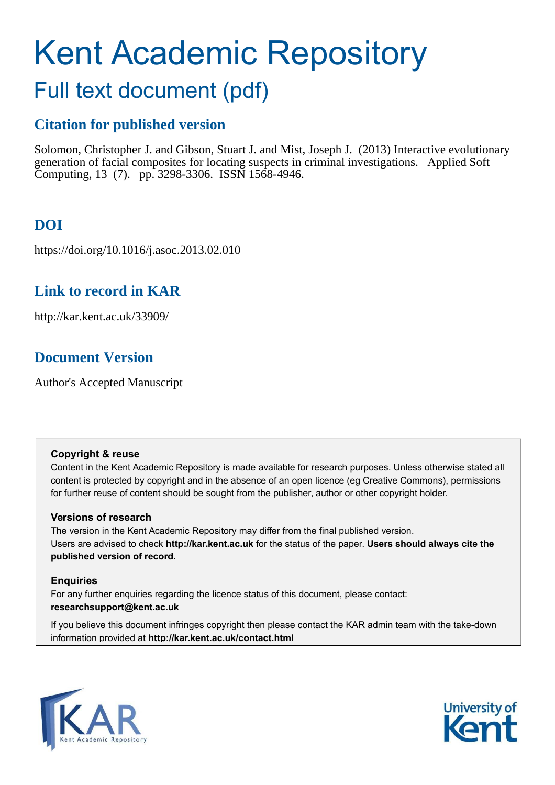# Kent Academic Repository

## Full text document (pdf)

## **Citation for published version**

Solomon, Christopher J. and Gibson, Stuart J. and Mist, Joseph J. (2013) Interactive evolutionary generation of facial composites for locating suspects in criminal investigations. Applied Soft Computing, 13 (7). pp. 3298-3306. ISSN 1568-4946.

## **DOI**

https://doi.org/10.1016/j.asoc.2013.02.010

## **Link to record in KAR**

http://kar.kent.ac.uk/33909/

## **Document Version**

Author's Accepted Manuscript

#### **Copyright & reuse**

Content in the Kent Academic Repository is made available for research purposes. Unless otherwise stated all content is protected by copyright and in the absence of an open licence (eg Creative Commons), permissions for further reuse of content should be sought from the publisher, author or other copyright holder.

#### **Versions of research**

The version in the Kent Academic Repository may differ from the final published version. Users are advised to check **http://kar.kent.ac.uk** for the status of the paper. **Users should always cite the published version of record.**

#### **Enquiries**

For any further enquiries regarding the licence status of this document, please contact: **researchsupport@kent.ac.uk**

If you believe this document infringes copyright then please contact the KAR admin team with the take-down information provided at **http://kar.kent.ac.uk/contact.html**



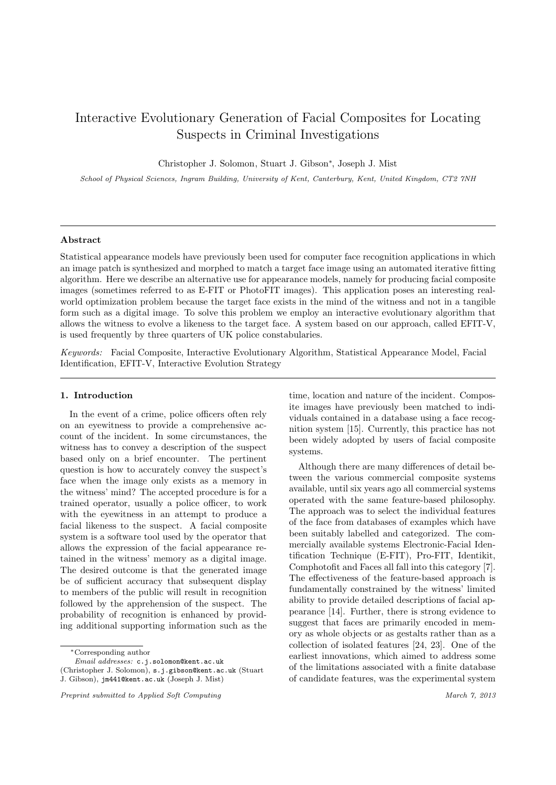### Interactive Evolutionary Generation of Facial Composites for Locating Suspects in Criminal Investigations

Christopher J. Solomon, Stuart J. Gibson<sup>∗</sup> , Joseph J. Mist

*School of Physical Sciences, Ingram Building, University of Kent, Canterbury, Kent, United Kingdom, CT2 7NH*

#### Abstract

Statistical appearance models have previously been used for computer face recognition applications in which an image patch is synthesized and morphed to match a target face image using an automated iterative fitting algorithm. Here we describe an alternative use for appearance models, namely for producing facial composite images (sometimes referred to as E-FIT or PhotoFIT images). This application poses an interesting realworld optimization problem because the target face exists in the mind of the witness and not in a tangible form such as a digital image. To solve this problem we employ an interactive evolutionary algorithm that allows the witness to evolve a likeness to the target face. A system based on our approach, called EFIT-V, is used frequently by three quarters of UK police constabularies.

*Keywords:* Facial Composite, Interactive Evolutionary Algorithm, Statistical Appearance Model, Facial Identification, EFIT-V, Interactive Evolution Strategy

#### 1. Introduction

In the event of a crime, police officers often rely on an eyewitness to provide a comprehensive account of the incident. In some circumstances, the witness has to convey a description of the suspect based only on a brief encounter. The pertinent question is how to accurately convey the suspect's face when the image only exists as a memory in the witness' mind? The accepted procedure is for a trained operator, usually a police officer, to work with the eyewitness in an attempt to produce a facial likeness to the suspect. A facial composite system is a software tool used by the operator that allows the expression of the facial appearance retained in the witness' memory as a digital image. The desired outcome is that the generated image be of sufficient accuracy that subsequent display to members of the public will result in recognition followed by the apprehension of the suspect. The probability of recognition is enhanced by providing additional supporting information such as the

time, location and nature of the incident. Composite images have previously been matched to individuals contained in a database using a face recognition system [15]. Currently, this practice has not been widely adopted by users of facial composite systems.

Although there are many differences of detail between the various commercial composite systems available, until six years ago all commercial systems operated with the same feature-based philosophy. The approach was to select the individual features of the face from databases of examples which have been suitably labelled and categorized. The commercially available systems Electronic-Facial Identification Technique (E-FIT), Pro-FIT, Identikit, Comphotofit and Faces all fall into this category [7]. The effectiveness of the feature-based approach is fundamentally constrained by the witness' limited ability to provide detailed descriptions of facial appearance [14]. Further, there is strong evidence to suggest that faces are primarily encoded in memory as whole objects or as gestalts rather than as a collection of isolated features [24, 23]. One of the earliest innovations, which aimed to address some of the limitations associated with a finite database of candidate features, was the experimental system

<sup>∗</sup>Corresponding author

*Email addresses:* c.j.solomon@kent.ac.uk

<sup>(</sup>Christopher J. Solomon), s.j.gibson@kent.ac.uk (Stuart J. Gibson), jm441@kent.ac.uk (Joseph J. Mist)

*Preprint submitted to Applied Soft Computing March 7, 2013*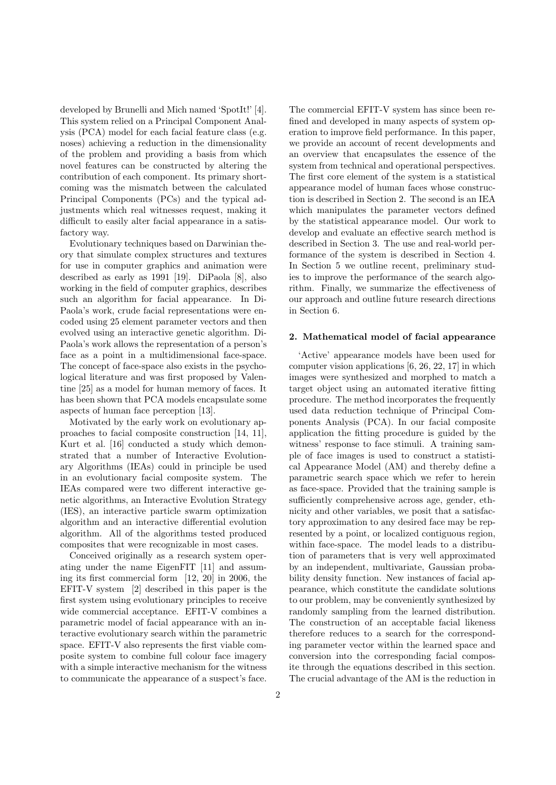developed by Brunelli and Mich named 'SpotIt!' [4]. This system relied on a Principal Component Analysis (PCA) model for each facial feature class (e.g. noses) achieving a reduction in the dimensionality of the problem and providing a basis from which novel features can be constructed by altering the contribution of each component. Its primary shortcoming was the mismatch between the calculated Principal Components (PCs) and the typical adjustments which real witnesses request, making it difficult to easily alter facial appearance in a satisfactory way.

Evolutionary techniques based on Darwinian theory that simulate complex structures and textures for use in computer graphics and animation were described as early as 1991 [19]. DiPaola [8], also working in the field of computer graphics, describes such an algorithm for facial appearance. In Di-Paola's work, crude facial representations were encoded using 25 element parameter vectors and then evolved using an interactive genetic algorithm. Di-Paola's work allows the representation of a person's face as a point in a multidimensional face-space. The concept of face-space also exists in the psychological literature and was first proposed by Valentine [25] as a model for human memory of faces. It has been shown that PCA models encapsulate some aspects of human face perception [13].

Motivated by the early work on evolutionary approaches to facial composite construction [14, 11], Kurt et al. [16] conducted a study which demonstrated that a number of Interactive Evolutionary Algorithms (IEAs) could in principle be used in an evolutionary facial composite system. The IEAs compared were two different interactive genetic algorithms, an Interactive Evolution Strategy (IES), an interactive particle swarm optimization algorithm and an interactive differential evolution algorithm. All of the algorithms tested produced composites that were recognizable in most cases.

Conceived originally as a research system operating under the name EigenFIT [11] and assuming its first commercial form [12, 20] in 2006, the EFIT-V system [2] described in this paper is the first system using evolutionary principles to receive wide commercial acceptance. EFIT-V combines a parametric model of facial appearance with an interactive evolutionary search within the parametric space. EFIT-V also represents the first viable composite system to combine full colour face imagery with a simple interactive mechanism for the witness to communicate the appearance of a suspect's face. The commercial EFIT-V system has since been refined and developed in many aspects of system operation to improve field performance. In this paper, we provide an account of recent developments and an overview that encapsulates the essence of the system from technical and operational perspectives. The first core element of the system is a statistical appearance model of human faces whose construction is described in Section 2. The second is an IEA which manipulates the parameter vectors defined by the statistical appearance model. Our work to develop and evaluate an effective search method is described in Section 3. The use and real-world performance of the system is described in Section 4. In Section 5 we outline recent, preliminary studies to improve the performance of the search algorithm. Finally, we summarize the effectiveness of our approach and outline future research directions in Section 6.

#### 2. Mathematical model of facial appearance

'Active' appearance models have been used for computer vision applications [6, 26, 22, 17] in which images were synthesized and morphed to match a target object using an automated iterative fitting procedure. The method incorporates the frequently used data reduction technique of Principal Components Analysis (PCA). In our facial composite application the fitting procedure is guided by the witness' response to face stimuli. A training sample of face images is used to construct a statistical Appearance Model (AM) and thereby define a parametric search space which we refer to herein as face-space. Provided that the training sample is sufficiently comprehensive across age, gender, ethnicity and other variables, we posit that a satisfactory approximation to any desired face may be represented by a point, or localized contiguous region, within face-space. The model leads to a distribution of parameters that is very well approximated by an independent, multivariate, Gaussian probability density function. New instances of facial appearance, which constitute the candidate solutions to our problem, may be conveniently synthesized by randomly sampling from the learned distribution. The construction of an acceptable facial likeness therefore reduces to a search for the corresponding parameter vector within the learned space and conversion into the corresponding facial composite through the equations described in this section. The crucial advantage of the AM is the reduction in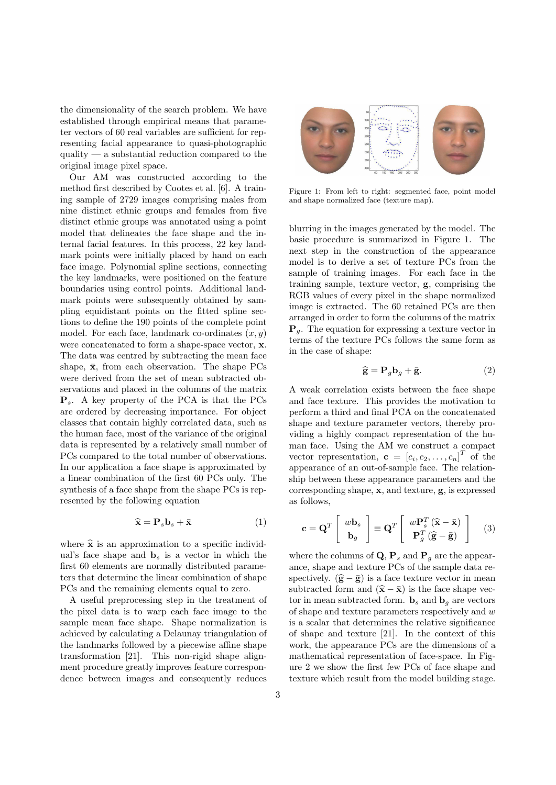the dimensionality of the search problem. We have established through empirical means that parameter vectors of 60 real variables are sufficient for representing facial appearance to quasi-photographic quality — a substantial reduction compared to the original image pixel space.

Our AM was constructed according to the method first described by Cootes et al. [6]. A training sample of 2729 images comprising males from nine distinct ethnic groups and females from five distinct ethnic groups was annotated using a point model that delineates the face shape and the internal facial features. In this process, 22 key landmark points were initially placed by hand on each face image. Polynomial spline sections, connecting the key landmarks, were positioned on the feature boundaries using control points. Additional landmark points were subsequently obtained by sampling equidistant points on the fitted spline sections to define the 190 points of the complete point model. For each face, landmark co-ordinates  $(x, y)$ were concatenated to form a shape-space vector, x. The data was centred by subtracting the mean face shape,  $\bar{x}$ , from each observation. The shape PCs were derived from the set of mean subtracted observations and placed in the columns of the matrix  $P_s$ . A key property of the PCA is that the PCs are ordered by decreasing importance. For object classes that contain highly correlated data, such as the human face, most of the variance of the original data is represented by a relatively small number of PCs compared to the total number of observations. In our application a face shape is approximated by a linear combination of the first 60 PCs only. The synthesis of a face shape from the shape PCs is represented by the following equation

$$
\widehat{\mathbf{x}} = \mathbf{P}_s \mathbf{b}_s + \bar{\mathbf{x}} \tag{1}
$$

where  $\hat{\mathbf{x}}$  is an approximation to a specific individual's face shape and  $\mathbf{b}_s$  is a vector in which the first 60 elements are normally distributed parameters that determine the linear combination of shape PCs and the remaining elements equal to zero.

A useful preprocessing step in the treatment of the pixel data is to warp each face image to the sample mean face shape. Shape normalization is achieved by calculating a Delaunay triangulation of the landmarks followed by a piecewise affine shape transformation [21]. This non-rigid shape alignment procedure greatly improves feature correspondence between images and consequently reduces



Figure 1: From left to right: segmented face, point model and shape normalized face (texture map).

blurring in the images generated by the model. The basic procedure is summarized in Figure 1. The next step in the construction of the appearance model is to derive a set of texture PCs from the sample of training images. For each face in the training sample, texture vector, g, comprising the RGB values of every pixel in the shape normalized image is extracted. The 60 retained PCs are then arranged in order to form the columns of the matrix  ${\bf P}_q$ . The equation for expressing a texture vector in terms of the texture PCs follows the same form as in the case of shape:

$$
\hat{\mathbf{g}} = \mathbf{P}_g \mathbf{b}_g + \bar{\mathbf{g}}.\tag{2}
$$

A weak correlation exists between the face shape and face texture. This provides the motivation to perform a third and final PCA on the concatenated shape and texture parameter vectors, thereby providing a highly compact representation of the human face. Using the AM we construct a compact vector representation,  $\mathbf{c} = [c_i, c_2, \dots, c_n]^T$  of the appearance of an out-of-sample face. The relationship between these appearance parameters and the corresponding shape, x, and texture, g, is expressed as follows,

$$
\mathbf{c} = \mathbf{Q}^T \begin{bmatrix} w\mathbf{b}_s \\ \mathbf{b}_g \end{bmatrix} \equiv \mathbf{Q}^T \begin{bmatrix} w\mathbf{P}_s^T (\hat{\mathbf{x}} - \bar{\mathbf{x}}) \\ \mathbf{P}_g^T (\hat{\mathbf{g}} - \bar{\mathbf{g}}) \end{bmatrix}
$$
 (3)

where the columns of  $\mathbf{Q}, \mathbf{P}_s$  and  $\mathbf{P}_q$  are the appearance, shape and texture PCs of the sample data respectively.  $(\hat{\mathbf{g}} - \bar{\mathbf{g}})$  is a face texture vector in mean subtracted form and  $(\hat{\mathbf{x}} - \bar{\mathbf{x}})$  is the face shape vector in mean subtracted form.  $\mathbf{b}_s$  and  $\mathbf{b}_q$  are vectors of shape and texture parameters respectively and w is a scalar that determines the relative significance of shape and texture [21]. In the context of this work, the appearance PCs are the dimensions of a mathematical representation of face-space. In Figure 2 we show the first few PCs of face shape and texture which result from the model building stage.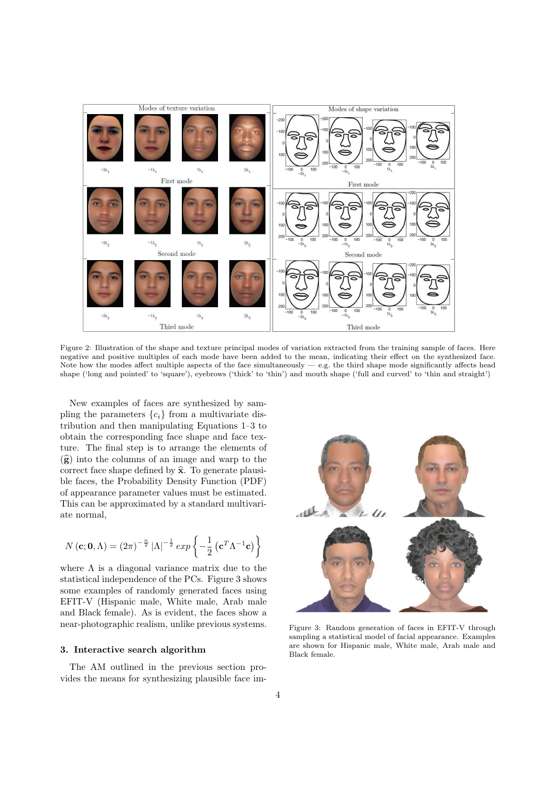

Figure 2: Illustration of the shape and texture principal modes of variation extracted from the training sample of faces. Here negative and positive multiples of each mode have been added to the mean, indicating their effect on the synthesized face. Note how the modes affect multiple aspects of the face simultaneously  $-$  e.g. the third shape mode significantly affects head shape ('long and pointed' to 'square'), eyebrows ('thick' to 'thin') and mouth shape ('full and curved' to 'thin and straight')

New examples of faces are synthesized by sampling the parameters  ${c_i}$  from a multivariate distribution and then manipulating Equations 1–3 to obtain the corresponding face shape and face texture. The final step is to arrange the elements of  $(\hat{\mathbf{g}})$  into the columns of an image and warp to the correct face shape defined by  $\hat{\mathbf{x}}$ . To generate plausible faces, the Probability Density Function (PDF) of appearance parameter values must be estimated. This can be approximated by a standard multivariate normal,

$$
N\left(\mathbf{c};\mathbf{0},\Lambda\right)=\left(2\pi\right)^{-\frac{n}{2}}\left|\Lambda\right|^{-\frac{1}{2}}exp\left\{-\frac{1}{2}\left(\mathbf{c}^T\Lambda^{-1}\mathbf{c}\right)\right\}
$$

where  $\Lambda$  is a diagonal variance matrix due to the statistical independence of the PCs. Figure 3 shows some examples of randomly generated faces using EFIT-V (Hispanic male, White male, Arab male and Black female). As is evident, the faces show a near-photographic realism, unlike previous systems.

#### 3. Interactive search algorithm

The AM outlined in the previous section provides the means for synthesizing plausible face im-



Figure 3: Random generation of faces in EFIT-V through sampling a statistical model of facial appearance. Examples are shown for Hispanic male, White male, Arab male and Black female.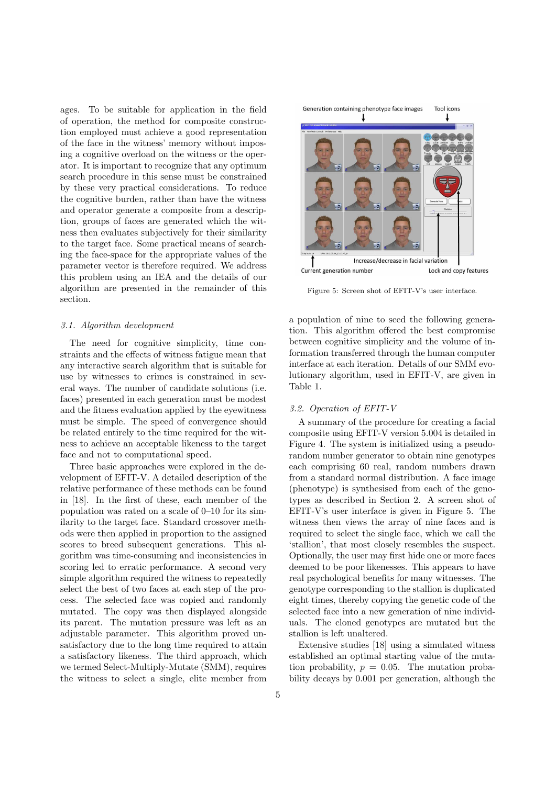ages. To be suitable for application in the field of operation, the method for composite construction employed must achieve a good representation of the face in the witness' memory without imposing a cognitive overload on the witness or the operator. It is important to recognize that any optimum search procedure in this sense must be constrained by these very practical considerations. To reduce the cognitive burden, rather than have the witness and operator generate a composite from a description, groups of faces are generated which the witness then evaluates subjectively for their similarity to the target face. Some practical means of searching the face-space for the appropriate values of the parameter vector is therefore required. We address this problem using an IEA and the details of our algorithm are presented in the remainder of this section.

#### *3.1. Algorithm development*

The need for cognitive simplicity, time constraints and the effects of witness fatigue mean that any interactive search algorithm that is suitable for use by witnesses to crimes is constrained in several ways. The number of candidate solutions (i.e. faces) presented in each generation must be modest and the fitness evaluation applied by the eyewitness must be simple. The speed of convergence should be related entirely to the time required for the witness to achieve an acceptable likeness to the target face and not to computational speed.

Three basic approaches were explored in the development of EFIT-V. A detailed description of the relative performance of these methods can be found in [18]. In the first of these, each member of the population was rated on a scale of 0–10 for its similarity to the target face. Standard crossover methods were then applied in proportion to the assigned scores to breed subsequent generations. This algorithm was time-consuming and inconsistencies in scoring led to erratic performance. A second very simple algorithm required the witness to repeatedly select the best of two faces at each step of the process. The selected face was copied and randomly mutated. The copy was then displayed alongside its parent. The mutation pressure was left as an adjustable parameter. This algorithm proved unsatisfactory due to the long time required to attain a satisfactory likeness. The third approach, which we termed Select-Multiply-Mutate (SMM), requires the witness to select a single, elite member from



Figure 5: Screen shot of EFIT-V's user interface.

a population of nine to seed the following generation. This algorithm offered the best compromise between cognitive simplicity and the volume of information transferred through the human computer interface at each iteration. Details of our SMM evolutionary algorithm, used in EFIT-V, are given in Table 1.

#### *3.2. Operation of EFIT-V*

A summary of the procedure for creating a facial composite using EFIT-V version 5.004 is detailed in Figure 4. The system is initialized using a pseudorandom number generator to obtain nine genotypes each comprising 60 real, random numbers drawn from a standard normal distribution. A face image (phenotype) is synthesised from each of the genotypes as described in Section 2. A screen shot of EFIT-V's user interface is given in Figure 5. The witness then views the array of nine faces and is required to select the single face, which we call the 'stallion', that most closely resembles the suspect. Optionally, the user may first hide one or more faces deemed to be poor likenesses. This appears to have real psychological benefits for many witnesses. The genotype corresponding to the stallion is duplicated eight times, thereby copying the genetic code of the selected face into a new generation of nine individuals. The cloned genotypes are mutated but the stallion is left unaltered.

Extensive studies [18] using a simulated witness established an optimal starting value of the mutation probability,  $p = 0.05$ . The mutation probability decays by 0.001 per generation, although the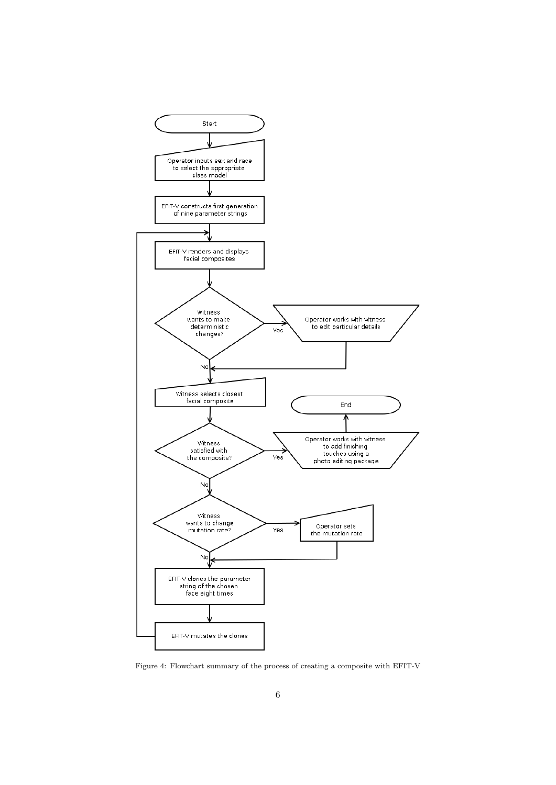

Figure 4: Flowchart summary of the process of creating a composite with EFIT-V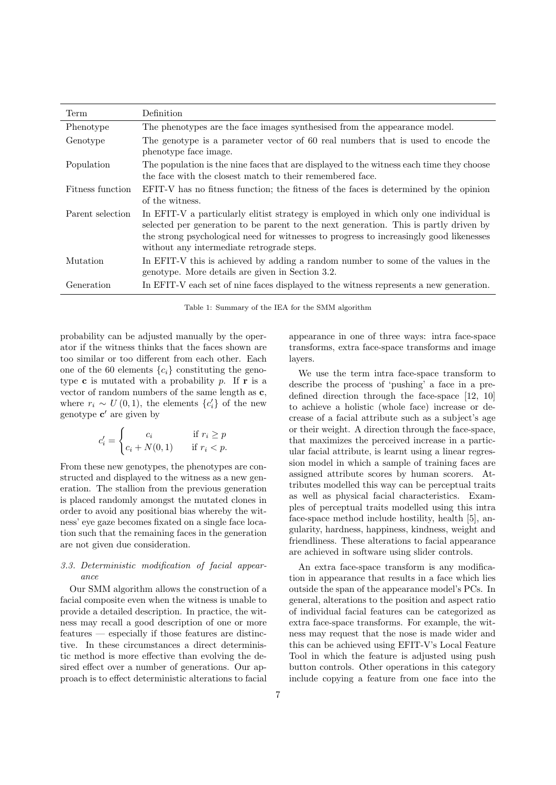| Term             | Definition                                                                                                                                                                                                                                                                                                              |  |  |
|------------------|-------------------------------------------------------------------------------------------------------------------------------------------------------------------------------------------------------------------------------------------------------------------------------------------------------------------------|--|--|
| Phenotype        | The phenotypes are the face images synthesised from the appearance model.                                                                                                                                                                                                                                               |  |  |
| Genotype         | The genotype is a parameter vector of 60 real numbers that is used to encode the<br>phenotype face image.                                                                                                                                                                                                               |  |  |
| Population       | The population is the nine faces that are displayed to the witness each time they choose<br>the face with the closest match to their remembered face.                                                                                                                                                                   |  |  |
| Fitness function | EFIT-V has no fitness function; the fitness of the faces is determined by the opinion<br>of the witness.                                                                                                                                                                                                                |  |  |
| Parent selection | In EFIT-V a particularly elitist strategy is employed in which only one individual is<br>selected per generation to be parent to the next generation. This is partly driven by<br>the strong psychological need for witnesses to progress to increasingly good likenesses<br>without any intermediate retrograde steps. |  |  |
| Mutation         | In EFIT-V this is achieved by adding a random number to some of the values in the<br>genotype. More details are given in Section 3.2.                                                                                                                                                                                   |  |  |
| Generation       | In EFIT-V each set of nine faces displayed to the witness represents a new generation.                                                                                                                                                                                                                                  |  |  |

Table 1: Summary of the IEA for the SMM algorithm

probability can be adjusted manually by the operator if the witness thinks that the faces shown are too similar or too different from each other. Each one of the 60 elements  ${c_i}$  constituting the genotype **c** is mutated with a probability  $p$ . If **r** is a vector of random numbers of the same length as c, where  $r_i \sim U(0,1)$ , the elements  $\{c_i'\}$  of the new genotype c ′ are given by

$$
c_i' = \begin{cases} c_i & \text{if } r_i \ge p \\ c_i + N(0, 1) & \text{if } r_i < p. \end{cases}
$$

From these new genotypes, the phenotypes are constructed and displayed to the witness as a new generation. The stallion from the previous generation is placed randomly amongst the mutated clones in order to avoid any positional bias whereby the witness' eye gaze becomes fixated on a single face location such that the remaining faces in the generation are not given due consideration.

#### *3.3. Deterministic modification of facial appearance*

Our SMM algorithm allows the construction of a facial composite even when the witness is unable to provide a detailed description. In practice, the witness may recall a good description of one or more features — especially if those features are distinctive. In these circumstances a direct deterministic method is more effective than evolving the desired effect over a number of generations. Our approach is to effect deterministic alterations to facial

appearance in one of three ways: intra face-space transforms, extra face-space transforms and image layers.

We use the term intra face-space transform to describe the process of 'pushing' a face in a predefined direction through the face-space [12, 10] to achieve a holistic (whole face) increase or decrease of a facial attribute such as a subject's age or their weight. A direction through the face-space, that maximizes the perceived increase in a particular facial attribute, is learnt using a linear regression model in which a sample of training faces are assigned attribute scores by human scorers. Attributes modelled this way can be perceptual traits as well as physical facial characteristics. Examples of perceptual traits modelled using this intra face-space method include hostility, health [5], angularity, hardness, happiness, kindness, weight and friendliness. These alterations to facial appearance are achieved in software using slider controls.

An extra face-space transform is any modification in appearance that results in a face which lies outside the span of the appearance model's PCs. In general, alterations to the position and aspect ratio of individual facial features can be categorized as extra face-space transforms. For example, the witness may request that the nose is made wider and this can be achieved using EFIT-V's Local Feature Tool in which the feature is adjusted using push button controls. Other operations in this category include copying a feature from one face into the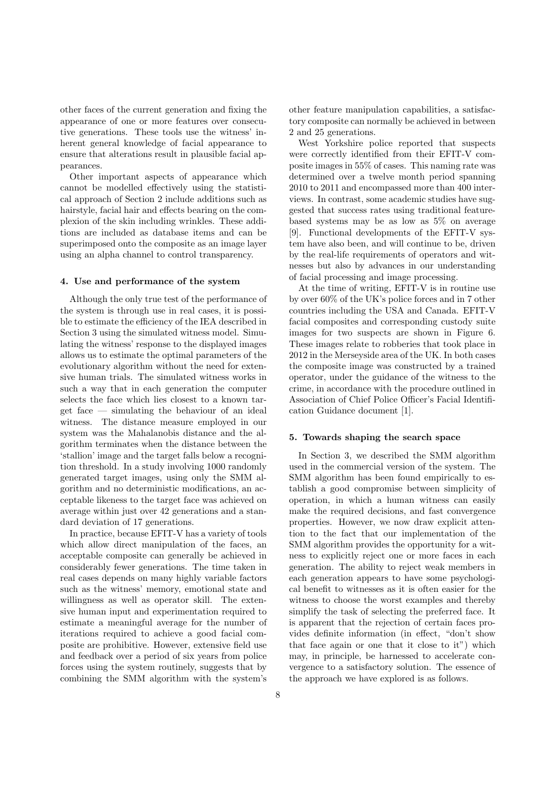other faces of the current generation and fixing the appearance of one or more features over consecutive generations. These tools use the witness' inherent general knowledge of facial appearance to ensure that alterations result in plausible facial appearances.

Other important aspects of appearance which cannot be modelled effectively using the statistical approach of Section 2 include additions such as hairstyle, facial hair and effects bearing on the complexion of the skin including wrinkles. These additions are included as database items and can be superimposed onto the composite as an image layer using an alpha channel to control transparency.

#### 4. Use and performance of the system

Although the only true test of the performance of the system is through use in real cases, it is possible to estimate the efficiency of the IEA described in Section 3 using the simulated witness model. Simulating the witness' response to the displayed images allows us to estimate the optimal parameters of the evolutionary algorithm without the need for extensive human trials. The simulated witness works in such a way that in each generation the computer selects the face which lies closest to a known target face — simulating the behaviour of an ideal witness. The distance measure employed in our system was the Mahalanobis distance and the algorithm terminates when the distance between the 'stallion' image and the target falls below a recognition threshold. In a study involving 1000 randomly generated target images, using only the SMM algorithm and no deterministic modifications, an acceptable likeness to the target face was achieved on average within just over 42 generations and a standard deviation of 17 generations.

In practice, because EFIT-V has a variety of tools which allow direct manipulation of the faces, an acceptable composite can generally be achieved in considerably fewer generations. The time taken in real cases depends on many highly variable factors such as the witness' memory, emotional state and willingness as well as operator skill. The extensive human input and experimentation required to estimate a meaningful average for the number of iterations required to achieve a good facial composite are prohibitive. However, extensive field use and feedback over a period of six years from police forces using the system routinely, suggests that by combining the SMM algorithm with the system's other feature manipulation capabilities, a satisfactory composite can normally be achieved in between 2 and 25 generations.

West Yorkshire police reported that suspects were correctly identified from their EFIT-V composite images in 55% of cases. This naming rate was determined over a twelve month period spanning 2010 to 2011 and encompassed more than 400 interviews. In contrast, some academic studies have suggested that success rates using traditional featurebased systems may be as low as 5% on average [9]. Functional developments of the EFIT-V system have also been, and will continue to be, driven by the real-life requirements of operators and witnesses but also by advances in our understanding of facial processing and image processing.

At the time of writing, EFIT-V is in routine use by over 60% of the UK's police forces and in 7 other countries including the USA and Canada. EFIT-V facial composites and corresponding custody suite images for two suspects are shown in Figure 6. These images relate to robberies that took place in 2012 in the Merseyside area of the UK. In both cases the composite image was constructed by a trained operator, under the guidance of the witness to the crime, in accordance with the procedure outlined in Association of Chief Police Officer's Facial Identification Guidance document [1].

#### 5. Towards shaping the search space

In Section 3, we described the SMM algorithm used in the commercial version of the system. The SMM algorithm has been found empirically to establish a good compromise between simplicity of operation, in which a human witness can easily make the required decisions, and fast convergence properties. However, we now draw explicit attention to the fact that our implementation of the SMM algorithm provides the opportunity for a witness to explicitly reject one or more faces in each generation. The ability to reject weak members in each generation appears to have some psychological benefit to witnesses as it is often easier for the witness to choose the worst examples and thereby simplify the task of selecting the preferred face. It is apparent that the rejection of certain faces provides definite information (in effect, "don't show that face again or one that it close to it") which may, in principle, be harnessed to accelerate convergence to a satisfactory solution. The essence of the approach we have explored is as follows.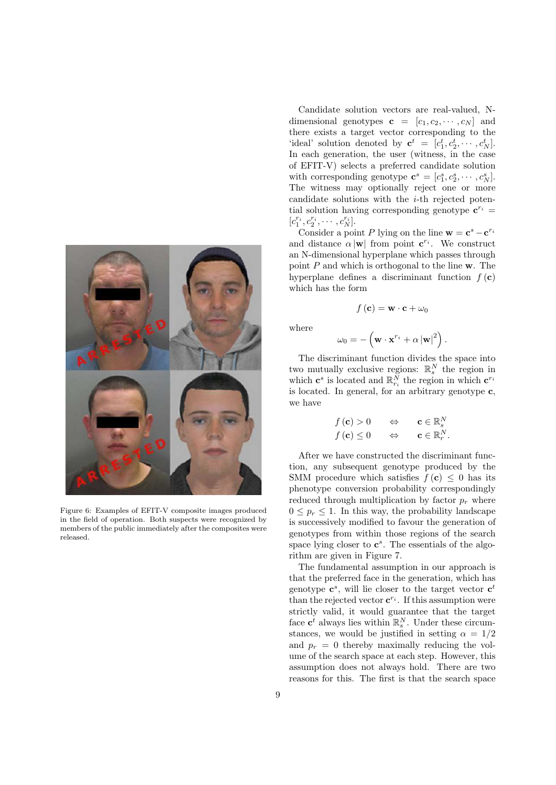

Figure 6: Examples of EFIT-V composite images produced in the field of operation. Both suspects were recognized by members of the public immediately after the composites were released.

Candidate solution vectors are real-valued, Ndimensional genotypes  $\mathbf{c} = [c_1, c_2, \cdots, c_N]$  and there exists a target vector corresponding to the 'ideal' solution denoted by  $\mathbf{c}^t = [c_1^t, c_2^t, \cdots, c_N^t]$ . In each generation, the user (witness, in the case of EFIT-V) selects a preferred candidate solution with corresponding genotype  $\mathbf{c}^s = [c_1^s, c_2^s, \cdots, c_N^s]$ . The witness may optionally reject one or more candidate solutions with the  $i$ -th rejected potential solution having corresponding genotype  $\mathbf{c}^{r_i}$  =  $[c_1^{r_i}, c_2^{r_i}, \cdots, c_N^{r_i}].$ 

Consider a point P lying on the line  $\mathbf{w} = \mathbf{c}^s - \mathbf{c}^{r_i}$ and distance  $\alpha |w|$  from point  $c^{r_i}$ . We construct an N-dimensional hyperplane which passes through point  $P$  and which is orthogonal to the line  $\bf{w}$ . The hyperplane defines a discriminant function  $f(c)$ which has the form

$$
f(\mathbf{c}) = \mathbf{w} \cdot \mathbf{c} + \omega_0
$$

where

$$
\omega_0 = -\left(\mathbf{w}\cdot\mathbf{x}^{r_i} + \alpha \left|\mathbf{w}\right|^2\right).
$$

The discriminant function divides the space into two mutually exclusive regions:  $\mathbb{R}_s^N$  the region in which  $\mathbf{c}^s$  is located and  $\mathbb{R}_{r_i}^N$  the region in which  $\mathbf{c}^{r_i}$ is located. In general, for an arbitrary genotype c, we have

$$
f(\mathbf{c}) > 0 \Leftrightarrow \mathbf{c} \in \mathbb{R}_s^N
$$
  
 $f(\mathbf{c}) \le 0 \Leftrightarrow \mathbf{c} \in \mathbb{R}_r^N$ .

After we have constructed the discriminant function, any subsequent genotype produced by the SMM procedure which satisfies  $f(c) \leq 0$  has its phenotype conversion probability correspondingly reduced through multiplication by factor  $p_r$  where  $0 \leq p_r \leq 1$ . In this way, the probability landscape is successively modified to favour the generation of genotypes from within those regions of the search space lying closer to  $\mathbf{c}^s$ . The essentials of the algorithm are given in Figure 7.

The fundamental assumption in our approach is that the preferred face in the generation, which has genotype  $\mathbf{c}^s$ , will lie closer to the target vector  $\mathbf{c}^t$ than the rejected vector  $\mathbf{c}^{r_i}$ . If this assumption were strictly valid, it would guarantee that the target face  $\mathbf{c}^t$  always lies within  $\mathbb{R}_s^N$ . Under these circumstances, we would be justified in setting  $\alpha = 1/2$ and  $p_r = 0$  thereby maximally reducing the volume of the search space at each step. However, this assumption does not always hold. There are two reasons for this. The first is that the search space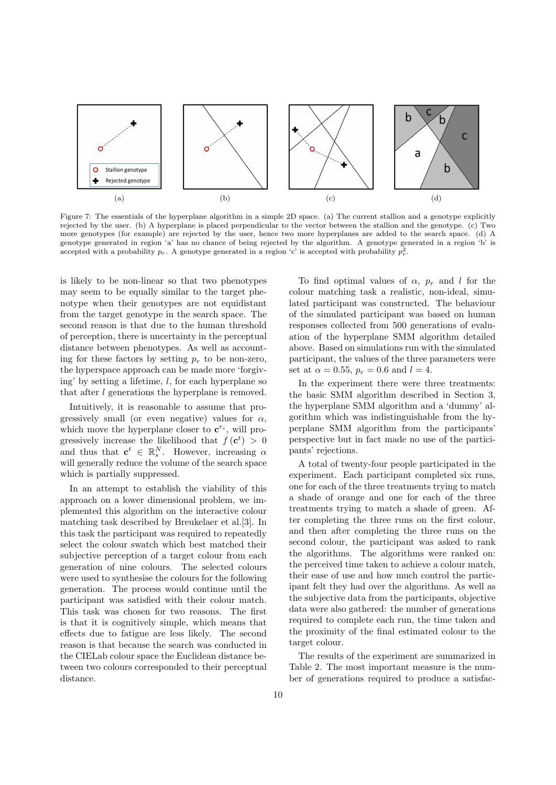

Figure 7: The essentials of the hyperplane algorithm in a simple 2D space. (a) The current stallion and a genotype explicitly rejected by the user. (b) A hyperplane is placed perpendicular to the vector between the stallion and the genotype. (c) Two more genotypes (for example) are rejected by the user, hence two more hyperplanes are added to the search space. (d) A genotype generated in region 'a' has no chance of being rejected by the algorithm. A genotype generated in a region 'b' is accepted with a probability  $p_r$ . A genotype generated in a region 'c' is accepted with probability  $p_r^2$ .

is likely to be non-linear so that two phenotypes may seem to be equally similar to the target phenotype when their genotypes are not equidistant from the target genotype in the search space. The second reason is that due to the human threshold of perception, there is uncertainty in the perceptual distance between phenotypes. As well as accounting for these factors by setting  $p_r$  to be non-zero, the hyperspace approach can be made more 'forgiving' by setting a lifetime,  $l$ , for each hyperplane so that after l generations the hyperplane is removed.

Intuitively, it is reasonable to assume that progressively small (or even negative) values for  $\alpha$ , which move the hyperplane closer to  $\mathbf{c}^{r_i}$ , will progressively increase the likelihood that  $f(c^t) > 0$ and thus that  $\mathbf{c}^t \in \mathbb{R}_s^N$ . However, increasing  $\alpha$ will generally reduce the volume of the search space which is partially suppressed.

In an attempt to establish the viability of this approach on a lower dimensional problem, we implemented this algorithm on the interactive colour matching task described by Breukelaer et al.[3]. In this task the participant was required to repeatedly select the colour swatch which best matched their subjective perception of a target colour from each generation of nine colours. The selected colours were used to synthesise the colours for the following generation. The process would continue until the participant was satisfied with their colour match. This task was chosen for two reasons. The first is that it is cognitively simple, which means that effects due to fatigue are less likely. The second reason is that because the search was conducted in the CIELab colour space the Euclidean distance between two colours corresponded to their perceptual distance.

To find optimal values of  $\alpha$ ,  $p_r$  and l for the colour matching task a realistic, non-ideal, simulated participant was constructed. The behaviour of the simulated participant was based on human responses collected from 500 generations of evaluation of the hyperplane SMM algorithm detailed above. Based on simulations run with the simulated participant, the values of the three parameters were set at  $\alpha = 0.55$ ,  $p_r = 0.6$  and  $l = 4$ .

In the experiment there were three treatments: the basic SMM algorithm described in Section 3, the hyperplane SMM algorithm and a 'dummy' algorithm which was indistinguishable from the hyperplane SMM algorithm from the participants' perspective but in fact made no use of the participants' rejections.

A total of twenty-four people participated in the experiment. Each participant completed six runs, one for each of the three treatments trying to match a shade of orange and one for each of the three treatments trying to match a shade of green. After completing the three runs on the first colour, and then after completing the three runs on the second colour, the participant was asked to rank the algorithms. The algorithms were ranked on: the perceived time taken to achieve a colour match, their ease of use and how much control the participant felt they had over the algorithms. As well as the subjective data from the participants, objective data were also gathered: the number of generations required to complete each run, the time taken and the proximity of the final estimated colour to the target colour.

The results of the experiment are summarized in Table 2. The most important measure is the number of generations required to produce a satisfac-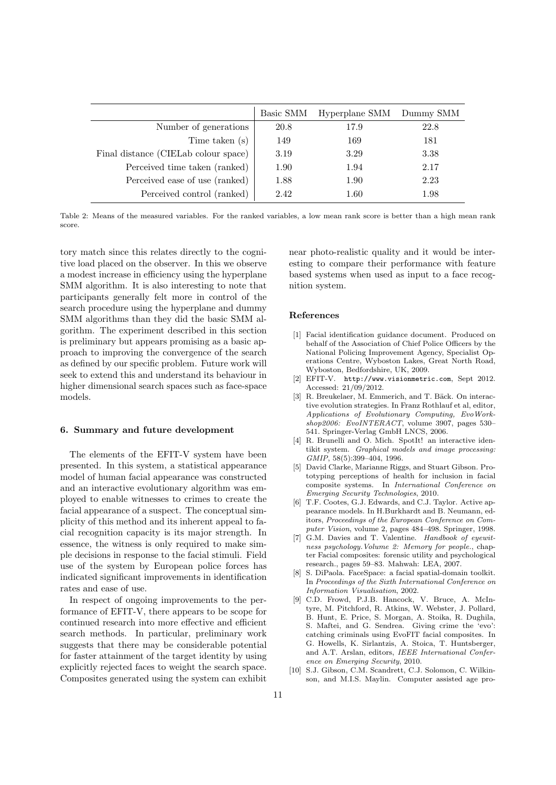|                                      | Basic SMM | Hyperplane SMM | Dummy SMM |
|--------------------------------------|-----------|----------------|-----------|
| Number of generations                | 20.8      | 17.9           | 22.8      |
| Time taken (s)                       | 149       | 169            | 181       |
| Final distance (CIELab colour space) | 3.19      | 3.29           | 3.38      |
| Perceived time taken (ranked)        | 1.90      | 1.94           | 2.17      |
| Perceived ease of use (ranked)       | 1.88      | 1.90           | 2.23      |
| Perceived control (ranked)           | 2.42      | $1.60\,$       | 1.98      |

Table 2: Means of the measured variables. For the ranked variables, a low mean rank score is better than a high mean rank score.

tory match since this relates directly to the cognitive load placed on the observer. In this we observe a modest increase in efficiency using the hyperplane SMM algorithm. It is also interesting to note that participants generally felt more in control of the search procedure using the hyperplane and dummy SMM algorithms than they did the basic SMM algorithm. The experiment described in this section is preliminary but appears promising as a basic approach to improving the convergence of the search as defined by our specific problem. Future work will seek to extend this and understand its behaviour in higher dimensional search spaces such as face-space models.

#### 6. Summary and future development

The elements of the EFIT-V system have been presented. In this system, a statistical appearance model of human facial appearance was constructed and an interactive evolutionary algorithm was employed to enable witnesses to crimes to create the facial appearance of a suspect. The conceptual simplicity of this method and its inherent appeal to facial recognition capacity is its major strength. In essence, the witness is only required to make simple decisions in response to the facial stimuli. Field use of the system by European police forces has indicated significant improvements in identification rates and ease of use.

In respect of ongoing improvements to the performance of EFIT-V, there appears to be scope for continued research into more effective and efficient search methods. In particular, preliminary work suggests that there may be considerable potential for faster attainment of the target identity by using explicitly rejected faces to weight the search space. Composites generated using the system can exhibit

near photo-realistic quality and it would be interesting to compare their performance with feature based systems when used as input to a face recognition system.

#### References

- [1] Facial identification guidance document. Produced on behalf of the Association of Chief Police Officers by the National Policing Improvement Agency, Specialist Operations Centre, Wyboston Lakes, Great North Road, Wyboston, Bedfordshire, UK, 2009.
- [2] EFIT-V. http://www.visionmetric.com, Sept 2012. Accessed: 21/09/2012.
- [3] R. Breukelaer, M. Emmerich, and T. Bäck. On interactive evolution strategies. In Franz Rothlauf et al, editor, *Applications of Evolutionary Computing, EvoWorkshop2006: EvoINTERACT*, volume 3907, pages 530– 541. Springer-Verlag GmbH LNCS, 2006.
- [4] R. Brunelli and O. Mich. SpotIt! an interactive identikit system. *Graphical models and image processing: GMIP*, 58(5):399–404, 1996.
- [5] David Clarke, Marianne Riggs, and Stuart Gibson. Prototyping perceptions of health for inclusion in facial composite systems. In *International Conference on Emerging Security Technologies*, 2010.
- [6] T.F. Cootes, G.J. Edwards, and C.J. Taylor. Active appearance models. In H.Burkhardt and B. Neumann, editors, *Proceedings of the European Conference on Computer Vision*, volume 2, pages 484–498. Springer, 1998.
- [7] G.M. Davies and T. Valentine. *Handbook of eyewitness psychology.Volume 2: Memory for people.*, chapter Facial composites: forensic utility and psychological research., pages 59–83. Mahwah: LEA, 2007.
- [8] S. DiPaola. FaceSpace: a facial spatial-domain toolkit. In *Proceedings of the Sixth International Conference on Information Visualisation*, 2002.
- [9] C.D. Frowd, P.J.B. Hancock, V. Bruce, A. McIntyre, M. Pitchford, R. Atkins, W. Webster, J. Pollard, B. Hunt, E. Price, S. Morgan, A. Stoika, R. Dughila, S. Maftei, and G. Sendrea. Giving crime the 'evo': catching criminals using EvoFIT facial composites. In G. Howells, K. Sirlantzis, A. Stoica, T. Huntsberger, and A.T. Arslan, editors, *IEEE International Conference on Emerging Security*, 2010.
- [10] S.J. Gibson, C.M. Scandrett, C.J. Solomon, C. Wilkinson, and M.I.S. Maylin. Computer assisted age pro-